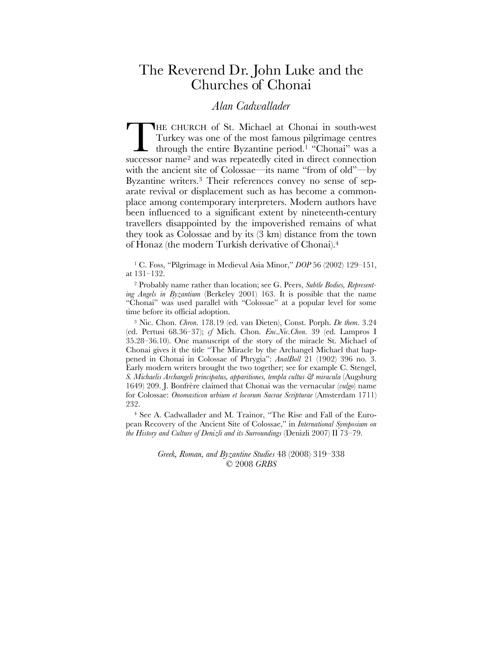## The Reverend Dr. John Luke and the Churches of Chonai

## *Alan Cadwallader*

HE CHURCH of St. Michael at Chonai in south-west Turkey was one of the most famous pilgrimage centres - through the entire Byzantine period.<sup>1</sup> "Chonai" was a THE CHURCH of St. Michael at Chonai in south-west<br>Turkey was one of the most famous pilgrimage centres<br>through the entire Byzantine period.<sup>1</sup> "Chonai" was a<br>successor name<sup>2</sup> and was repeatedly cited in direct connection with the ancient site of Colossae—its name "from of old"—by Byzantine writers.3 Their references convey no sense of separate revival or displacement such as has become a commonplace among contemporary interpreters. Modern authors have been influenced to a significant extent by nineteenth-century travellers disappointed by the impoverished remains of what they took as Colossae and by its (3 km) distance from the town of Honaz (the modern Turkish derivative of Chonai).4

<sup>1</sup> C. Foss, "Pilgrimage in Medieval Asia Minor," *DOP* 56 (2002) 129–151, at 131–132.

<sup>2</sup> Probably name rather than location; see G. Peers, *Subtle Bodies, Representing Angels in Byzantium* (Berkeley 2001) 163. It is possible that the name "Chonai" was used parallel with "Colossae" at a popular level for some time before its official adoption.

<sup>3</sup> Nic. Chon. *Chron*. 178.19 (ed. van Dieten), Const. Porph. *De them*. 3.24 (ed. Pertusi 68.36–37); *cf* Mich. Chon. *Enc.Nic.Chon*. 39 (ed. Lampros I 35.28–36.10). One manuscript of the story of the miracle St. Michael of Chonai gives it the title "The Miracle by the Archangel Michael that happened in Chonai in Colossae of Phrygia": *AnalBoll* 21 (1902) 396 no. 3. Early modern writers brought the two together; see for example C. Stengel, *S. Michaelis Archangeli principatus, apparitiones, templa cultus & miracula* (Augsburg 1649) 209. J. Bonfrère claimed that Chonai was the vernacular (*vulgo*) name for Colossae: *Onomasticon urbium et locorum Sacrae Scripturae* (Amsterdam 1711) 232.

<sup>4</sup> See A. Cadwallader and M. Trainor, "The Rise and Fall of the European Recovery of the Ancient Site of Colossae," in *International Symposium on the History and Culture of Denizli and its Surroundings* (Denizli 2007) II 73–79.

> *Greek, Roman, and Byzantine Studies* 48 (2008) 319–338 © 2008 *GRBS*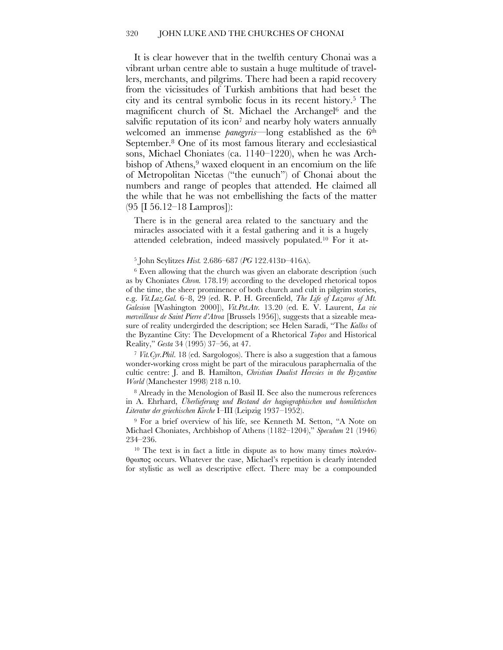It is clear however that in the twelfth century Chonai was a vibrant urban centre able to sustain a huge multitude of travellers, merchants, and pilgrims. There had been a rapid recovery from the vicissitudes of Turkish ambitions that had beset the city and its central symbolic focus in its recent history.5 The magnificent church of St. Michael the Archangel <sup>6</sup> and the salvific reputation of its icon<sup>7</sup> and nearby holy waters annually welcomed an immense *panegyris*—long established as the 6th September.<sup>8</sup> One of its most famous literary and ecclesiastical sons, Michael Choniates (ca. 1140–1220), when he was Archbishop of Athens,<sup>9</sup> waxed eloquent in an encomium on the life of Metropolitan Nicetas ("the eunuch") of Chonai about the numbers and range of peoples that attended. He claimed all the while that he was not embellishing the facts of the matter (95 [I 56.12–18 Lampros]):

There is in the general area related to the sanctuary and the miracles associated with it a festal gathering and it is a hugely attended celebration, indeed massively populated.10 For it at-

<sup>5</sup> John Scylitzes *Hist.* 2.686–687 (*PG* 122.413D–416A).

<sup>6</sup> Even allowing that the church was given an elaborate description (such as by Choniates *Chron.* 178.19) according to the developed rhetorical topos of the time, the sheer prominence of both church and cult in pilgrim stories, e.g. *Vit.Laz.Gal.* 6–8, 29 (ed. R. P. H. Greenfield, *The Life of Lazaros of Mt. Galesion* [Washington 2000]), *Vit.Pet.Atr.* 13.20 (ed. E. V. Laurent, *La vie merveilleuse de Saint Pierre d'Atroa* [Brussels 1956]), suggests that a sizeable measure of reality undergirded the description; see Helen Saradi, "The *Kallos* of the Byzantine City: The Development of a Rhetorical *Topos* and Historical Reality," *Gesta* 34 (1995) 37–56, at 47.

<sup>7</sup> *Vit.Cyr.Phil*. 18 (ed. Sargologos). There is also a suggestion that a famous wonder-working cross might be part of the miraculous paraphernalia of the cultic centre: J. and B. Hamilton, *Christian Dualist Heresies in the Byzantine World* (Manchester 1998) 218 n.10.

<sup>8</sup> Already in the Menologion of Basil II. See also the numerous references in A. Ehrhard, *Überlieferung und Bestand der hagiographischen und homiletischen Literatur der griechischen Kirche* I–III (Leipzig 1937–1952).

<sup>9</sup> For a brief overview of his life, see Kenneth M. Setton, "A Note on Michael Choniates, Archbishop of Athens (1182–1204)," *Speculum* 21 (1946) 234–236.

<sup>10</sup> The text is in fact a little in dispute as to how many times πολυάνθρωπος occurs. Whatever the case, Michael's repetition is clearly intended for stylistic as well as descriptive effect. There may be a compounded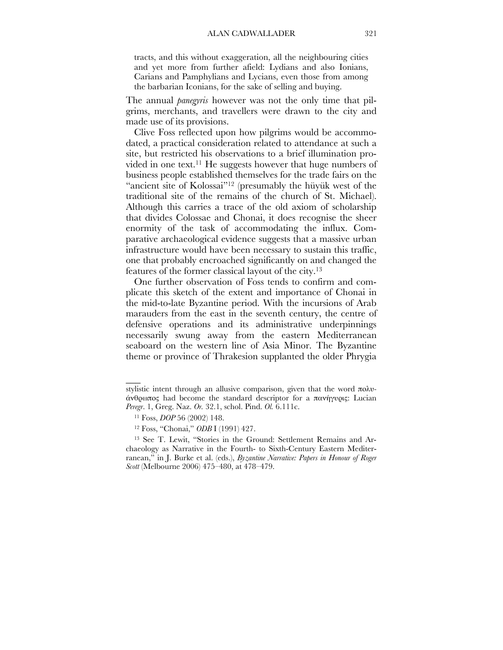tracts, and this without exaggeration, all the neighbouring cities and yet more from further afield: Lydians and also Ionians, Carians and Pamphylians and Lycians, even those from among the barbarian Iconians, for the sake of selling and buying.

The annual *panegyris* however was not the only time that pilgrims, merchants, and travellers were drawn to the city and made use of its provisions.

Clive Foss reflected upon how pilgrims would be accommodated, a practical consideration related to attendance at such a site, but restricted his observations to a brief illumination provided in one text.<sup>11</sup> He suggests however that huge numbers of business people established themselves for the trade fairs on the "ancient site of Kolossai"<sup>12</sup> (presumably the hüyük west of the traditional site of the remains of the church of St. Michael). Although this carries a trace of the old axiom of scholarship that divides Colossae and Chonai, it does recognise the sheer enormity of the task of accommodating the influx. Comparative archaeological evidence suggests that a massive urban infrastructure would have been necessary to sustain this traffic, one that probably encroached significantly on and changed the features of the former classical layout of the city. 13

One further observation of Foss tends to confirm and complicate this sketch of the extent and importance of Chonai in the mid-to-late Byzantine period. With the incursions of Arab marauders from the east in the seventh century, the centre of defensive operations and its administrative underpinnings necessarily swung away from the eastern Mediterranean seaboard on the western line of Asia Minor. The Byzantine theme or province of Thrakesion supplanted the older Phrygia

 $\overline{\phantom{a}}$ 

stylistic intent through an allusive comparison, given that the word πολυάνθρωπος had become the standard descriptor for a πανήγυρις: Lucian *Peregr*. 1, Greg. Naz. *Or.* 32.1, schol. Pind. *Ol.* 6.111c.

<sup>11</sup> Foss, *DOP* 56 (2002) 148.

<sup>12</sup> Foss, "Chonai," *ODB* I (1991) 427.

<sup>13</sup> See T. Lewit, "Stories in the Ground: Settlement Remains and Archaeology as Narrative in the Fourth- to Sixth-Century Eastern Mediterranean," in J. Burke et al. (eds.), *Byzantine Narrative: Papers in Honour of Roger Scott* (Melbourne 2006) 475–480, at 478–479.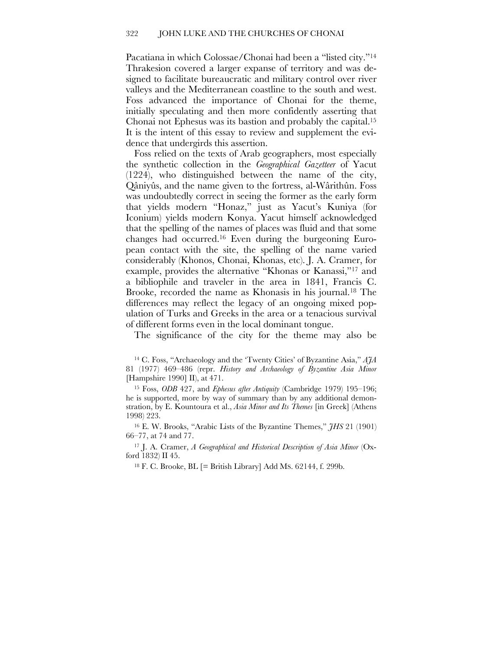Pacatiana in which Colossae/Chonai had been a "listed city."14 Thrakesion covered a larger expanse of territory and was designed to facilitate bureaucratic and military control over river valleys and the Mediterranean coastline to the south and west. Foss advanced the importance of Chonai for the theme, initially speculating and then more confidently asserting that Chonai not Ephesus was its bastion and probably the capital.15 It is the intent of this essay to review and supplement the evidence that undergirds this assertion.

Foss relied on the texts of Arab geographers, most especially the synthetic collection in the *Geographical Gazetteer* of Yacut (1224), who distinguished between the name of the city, Qâniyûs, and the name given to the fortress, al-Wârithûn. Foss was undoubtedly correct in seeing the former as the early form that yields modern "Honaz," just as Yacut's Kuniya (for Iconium) yields modern Konya. Yacut himself acknowledged that the spelling of the names of places was fluid and that some changes had occurred.16 Even during the burgeoning European contact with the site, the spelling of the name varied considerably (Khonos, Chonai, Khonas, etc). J. A. Cramer, for example, provides the alternative "Khonas or Kanassi,"17 and a bibliophile and traveler in the area in 1841, Francis C. Brooke, recorded the name as Khonasis in his journal.18 The differences may reflect the legacy of an ongoing mixed population of Turks and Greeks in the area or a tenacious survival of different forms even in the local dominant tongue.

The significance of the city for the theme may also be

<sup>14</sup> C. Foss, "Archaeology and the 'Twenty Cities' of Byzantine Asia," *AJA* 81 (1977) 469–486 (repr. *History and Archaeology of Byzantine Asia Minor* [Hampshire 1990] II), at 471.

<sup>15</sup> Foss, *ODB* 427, and *Ephesus after Antiquity* (Cambridge 1979) 195–196; he is supported, more by way of summary than by any additional demonstration, by E. Kountoura et al., *Asia Minor and Its Themes* [in Greek] (Athens 1998) 223.

<sup>16</sup> E. W. Brooks, "Arabic Lists of the Byzantine Themes," *JHS* 21 (1901) 66–77, at 74 and 77.

<sup>17</sup> J. A. Cramer, *A Geographical and Historical Description of Asia Minor* (Oxford 1832) II 45.

<sup>18</sup> F. C. Brooke, BL  $[=$  British Library] Add Ms. 62144, f. 299b.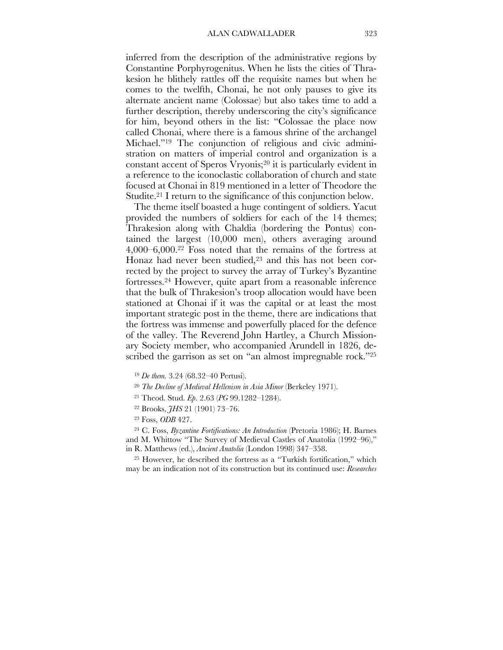inferred from the description of the administrative regions by Constantine Porphyrogenitus. When he lists the cities of Thrakesion he blithely rattles off the requisite names but when he comes to the twelfth, Chonai, he not only pauses to give its alternate ancient name (Colossae) but also takes time to add a further description, thereby underscoring the city's significance for him, beyond others in the list: "Colossae the place now called Chonai, where there is a famous shrine of the archangel Michael."19 The conjunction of religious and civic administration on matters of imperial control and organization is a constant accent of Speros Vryonis;20 it is particularly evident in a reference to the iconoclastic collaboration of church and state focused at Chonai in 819 mentioned in a letter of Theodore the Studite.<sup>21</sup> I return to the significance of this conjunction below.

The theme itself boasted a huge contingent of soldiers. Yacut provided the numbers of soldiers for each of the 14 themes; Thrakesion along with Chaldia (bordering the Pontus) contained the largest (10,000 men), others averaging around 4,000–6,000.22 Foss noted that the remains of the fortress at Honaz had never been studied, $2<sup>3</sup>$  and this has not been corrected by the project to survey the array of Turkey's Byzantine fortresses.24 However, quite apart from a reasonable inference that the bulk of Thrakesion's troop allocation would have been stationed at Chonai if it was the capital or at least the most important strategic post in the theme, there are indications that the fortress was immense and powerfully placed for the defence of the valley. The Reverend John Hartley, a Church Missionary Society member, who accompanied Arundell in 1826, described the garrison as set on "an almost impregnable rock."<sup>25</sup>

- <sup>20</sup> *The Decline of Medieval Hellenism in Asia Minor* (Berkeley 1971).
- <sup>21</sup> Theod. Stud. *Ep*. 2.63 (*PG* 99.1282–1284).
- <sup>22</sup> Brooks, *JHS* 21 (1901) 73–76.
- <sup>23</sup> Foss, *ODB* 427.

<sup>24</sup> C. Foss, *Byzantine Fortifications: An Introduction* (Pretoria 1986); H. Barnes and M. Whittow "The Survey of Medieval Castles of Anatolia (1992–96)," in R. Matthews (ed.), *Ancient Anatolia* (London 1998) 347–358.

<sup>25</sup> However, he described the fortress as a "Turkish fortification," which may be an indication not of its construction but its continued use: *Researches* 

<sup>19</sup> *De them.* 3.24 (68.32–40 Pertusi).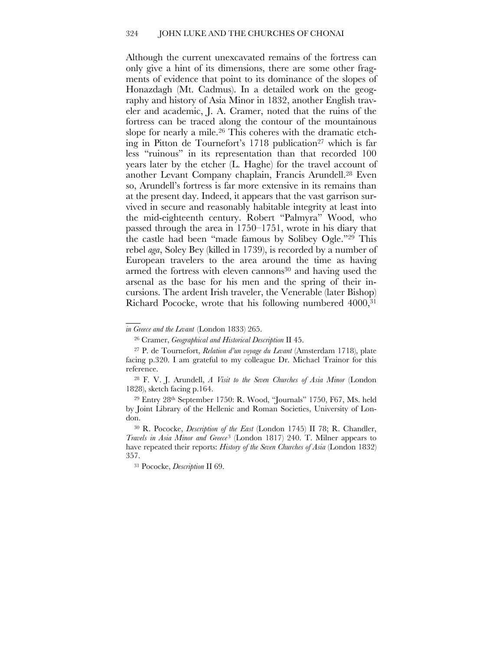Although the current unexcavated remains of the fortress can only give a hint of its dimensions, there are some other fragments of evidence that point to its dominance of the slopes of Honazdagh (Mt. Cadmus). In a detailed work on the geography and history of Asia Minor in 1832, another English traveler and academic, J. A. Cramer, noted that the ruins of the fortress can be traced along the contour of the mountainous slope for nearly a mile.<sup>26</sup> This coheres with the dramatic etching in Pitton de Tournefort's 1718 publication<sup>27</sup> which is far less "ruinous" in its representation than that recorded 100 years later by the etcher (L. Haghe) for the travel account of another Levant Company chaplain, Francis Arundell.28 Even so, Arundell's fortress is far more extensive in its remains than at the present day. Indeed, it appears that the vast garrison survived in secure and reasonably habitable integrity at least into the mid-eighteenth century. Robert "Palmyra" Wood, who passed through the area in 1750–1751, wrote in his diary that the castle had been "made famous by Solibey Ogle."29 This rebel *aga*, Soley Bey (killed in 1739), is recorded by a number of European travelers to the area around the time as having armed the fortress with eleven cannons<sup>30</sup> and having used the arsenal as the base for his men and the spring of their incursions. The ardent Irish traveler, the Venerable (later Bishop) Richard Pococke, wrote that his following numbered 4000,31

 $\overline{\phantom{a}}$ 

*in Greece and the Levant* (London 1833) 265.

<sup>26</sup> Cramer, *Geographical and Historical Description* II 45.

<sup>27</sup> P. de Tournefort, *Relation d'un voyage du Levant* (Amsterdam 1718), plate facing p.320. I am grateful to my colleague Dr. Michael Trainor for this reference.

<sup>28</sup> F. V. J. Arundell, *A Visit to the Seven Churches of Asia Minor* (London 1828), sketch facing p.164.

<sup>29</sup> Entry 28th September 1750: R. Wood, "Journals" 1750, F67, MS. held by Joint Library of the Hellenic and Roman Societies, University of London.

<sup>30</sup> R. Pococke, *Description of the East* (London 1745) II 78; R. Chandler, *Travels in Asia Minor and Greece* <sup>3</sup> (London 1817) 240. T. Milner appears to have repeated their reports: *History of the Seven Churches of Asia* (London 1832) 357.

<sup>31</sup> Pococke, *Description* II 69.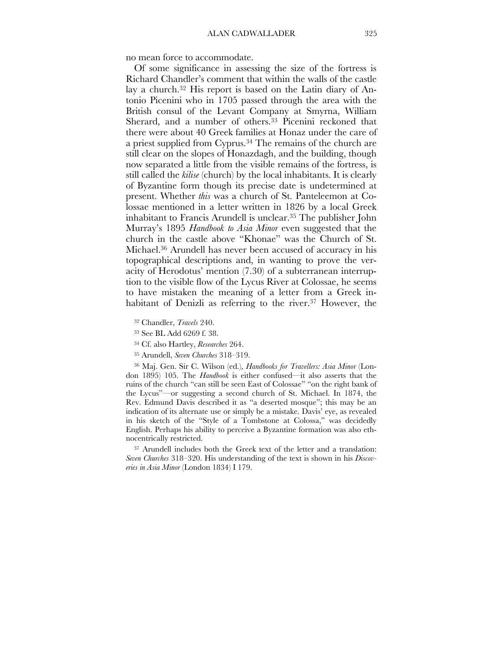no mean force to accommodate.

Of some significance in assessing the size of the fortress is Richard Chandler's comment that within the walls of the castle lay a church.<sup>32</sup> His report is based on the Latin diary of Antonio Picenini who in 1705 passed through the area with the British consul of the Levant Company at Smyrna, William Sherard, and a number of others.<sup>33</sup> Picenini reckoned that there were about 40 Greek families at Honaz under the care of a priest supplied from Cyprus.34 The remains of the church are still clear on the slopes of Honazdagh, and the building, though now separated a little from the visible remains of the fortress, is still called the *kilise* (church) by the local inhabitants. It is clearly of Byzantine form though its precise date is undetermined at present. Whether *this* was a church of St. Panteleemon at Colossae mentioned in a letter written in 1826 by a local Greek inhabitant to Francis Arundell is unclear.35 The publisher John Murray's 1895 *Handbook to Asia Minor* even suggested that the church in the castle above "Khonae" was the Church of St. Michael.36 Arundell has never been accused of accuracy in his topographical descriptions and, in wanting to prove the veracity of Herodotus' mention (7.30) of a subterranean interruption to the visible flow of the Lycus River at Colossae, he seems to have mistaken the meaning of a letter from a Greek inhabitant of Denizli as referring to the river. <sup>37</sup> However, the

<sup>32</sup> Chandler, *Travels* 240.

<sup>33</sup> See BL Add 6269 f. 38.

<sup>34</sup> Cf. also Hartley, *Researches* 264.

<sup>35</sup> Arundell, *Seven Churches* 318–319.

<sup>36</sup> Maj. Gen. Sir C. Wilson (ed.), *Handbooks for Travellers: Asia Minor* (London 1895) 105. The *Handbook* is either confused—it also asserts that the ruins of the church "can still be seen East of Colossae" "on the right bank of the Lycus"—or suggesting a second church of St. Michael. In 1874, the Rev. Edmund Davis described it as "a deserted mosque"; this may be an indication of its alternate use or simply be a mistake. Davis' eye, as revealed in his sketch of the "Style of a Tombstone at Colossa," was decidedly English. Perhaps his ability to perceive a Byzantine formation was also ethnocentrically restricted.

<sup>37</sup> Arundell includes both the Greek text of the letter and a translation: *Seven Churches* 318–320. His understanding of the text is shown in his *Discoveries in Asia Minor* (London 1834) I 179.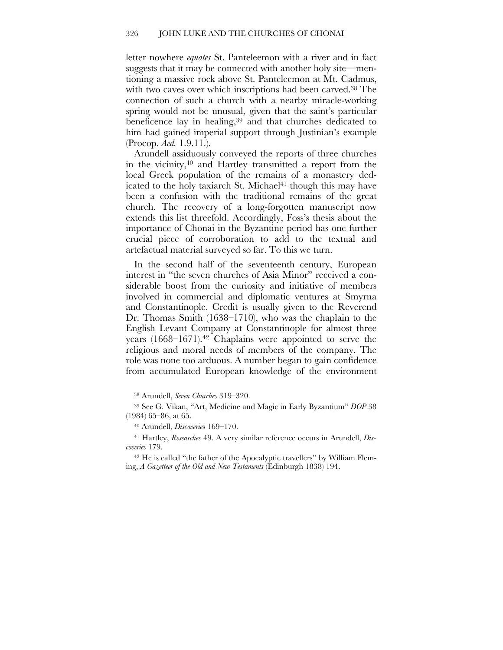letter nowhere *equates* St. Panteleemon with a river and in fact suggests that it may be connected with another holy site—mentioning a massive rock above St. Panteleemon at Mt. Cadmus, with two caves over which inscriptions had been carved.<sup>38</sup> The connection of such a church with a nearby miracle-working spring would not be unusual, given that the saint's particular beneficence lay in healing, <sup>39</sup> and that churches dedicated to him had gained imperial support through Justinian's example (Procop. *Aed.* 1.9.11.).

Arundell assiduously conveyed the reports of three churches in the vicinity, <sup>40</sup> and Hartley transmitted a report from the local Greek population of the remains of a monastery dedicated to the holy taxiarch St. Michael<sup>41</sup> though this may have been a confusion with the traditional remains of the great church. The recovery of a long-forgotten manuscript now extends this list threefold. Accordingly, Foss's thesis about the importance of Chonai in the Byzantine period has one further crucial piece of corroboration to add to the textual and artefactual material surveyed so far. To this we turn.

In the second half of the seventeenth century, European interest in "the seven churches of Asia Minor" received a considerable boost from the curiosity and initiative of members involved in commercial and diplomatic ventures at Smyrna and Constantinople. Credit is usually given to the Reverend Dr. Thomas Smith (1638–1710), who was the chaplain to the English Levant Company at Constantinople for almost three years (1668–1671).<sup>42</sup> Chaplains were appointed to serve the religious and moral needs of members of the company. The role was none too arduous. A number began to gain confidence from accumulated European knowledge of the environment

<sup>38</sup> Arundell, *Seven Churches* 319–320.

<sup>39</sup> See G. Vikan, "Art, Medicine and Magic in Early Byzantium" *DOP* 38 (1984) 65–86, at 65.

<sup>40</sup> Arundell, *Discoverie*s 169–170.

<sup>41</sup> Hartley, *Researches* 49. A very similar reference occurs in Arundell, *Discoveries* 179.

<sup>42</sup> He is called "the father of the Apocalyptic travellers" by William Fleming, *A Gazetteer of the Old and New Testaments* (Edinburgh 1838) 194.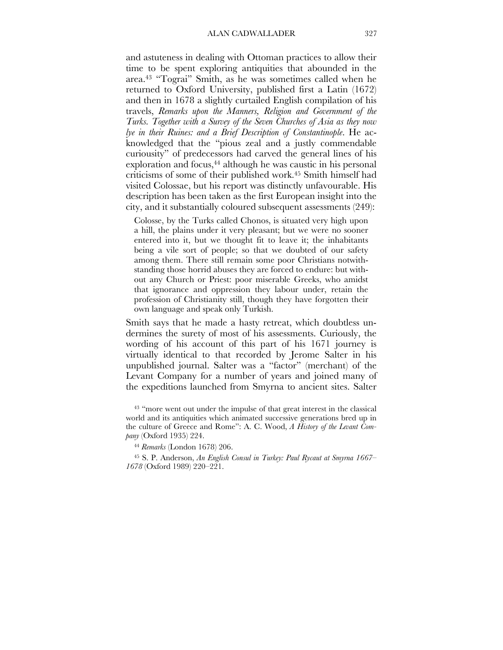and astuteness in dealing with Ottoman practices to allow their time to be spent exploring antiquities that abounded in the area. <sup>43</sup> "Tograi" Smith, as he was sometimes called when he returned to Oxford University, published first a Latin (1672) and then in 1678 a slightly curtailed English compilation of his travels, *Remarks upon the Manners, Religion and Government of the Turks. Together with a Survey of the Seven Churches of Asia as they now lye in their Ruines: and a Brief Description of Constantinople*. He acknowledged that the "pious zeal and a justly commendable curiousity" of predecessors had carved the general lines of his exploration and focus,<sup>44</sup> although he was caustic in his personal criticisms of some of their published work.45 Smith himself had visited Colossae, but his report was distinctly unfavourable. His description has been taken as the first European insight into the city, and it substantially coloured subsequent assessments (249):

Colosse, by the Turks called Chonos, is situated very high upon a hill, the plains under it very pleasant; but we were no sooner entered into it, but we thought fit to leave it; the inhabitants being a vile sort of people; so that we doubted of our safety among them. There still remain some poor Christians notwithstanding those horrid abuses they are forced to endure: but without any Church or Priest: poor miserable Greeks, who amidst that ignorance and oppression they labour under, retain the profession of Christianity still, though they have forgotten their own language and speak only Turkish.

Smith says that he made a hasty retreat, which doubtless undermines the surety of most of his assessments. Curiously, the wording of his account of this part of his 1671 journey is virtually identical to that recorded by Jerome Salter in his unpublished journal. Salter was a "factor" (merchant) of the Levant Company for a number of years and joined many of the expeditions launched from Smyrna to ancient sites. Salter

<sup>43</sup> "more went out under the impulse of that great interest in the classical world and its antiquities which animated successive generations bred up in the culture of Greece and Rome": A. C. Wood, *A History of the Levant Company* (Oxford 1935) 224.

<sup>44</sup> *Remarks* (London 1678) 206.

<sup>45</sup> S. P. Anderson, *An English Consul in Turkey: Paul Rycaut at Smyrna 1667– 1678* (Oxford 1989) 220–221.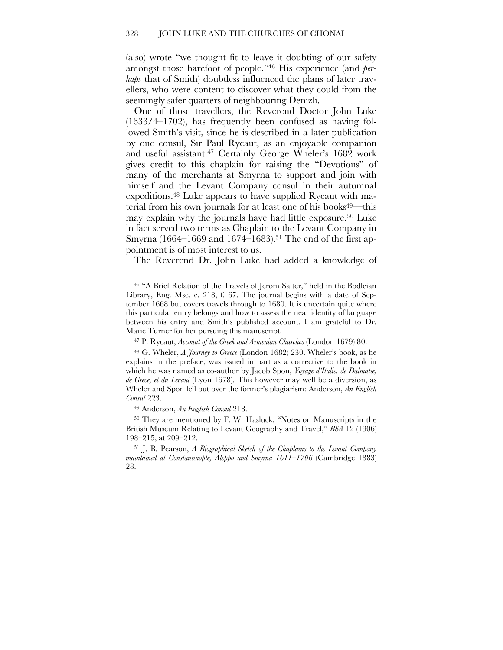(also) wrote "we thought fit to leave it doubting of our safety amongst those barefoot of people."46 His experience (and *perhaps* that of Smith) doubtless influenced the plans of later travellers, who were content to discover what they could from the seemingly safer quarters of neighbouring Denizli.

One of those travellers, the Reverend Doctor John Luke (1633/4–1702), has frequently been confused as having followed Smith's visit, since he is described in a later publication by one consul, Sir Paul Rycaut, as an enjoyable companion and useful assistant.47 Certainly George Wheler's 1682 work gives credit to this chaplain for raising the "Devotions" of many of the merchants at Smyrna to support and join with himself and the Levant Company consul in their autumnal expeditions. <sup>48</sup> Luke appears to have supplied Rycaut with material from his own journals for at least one of his books<sup>49—this</sup> may explain why the journals have had little exposure.50 Luke in fact served two terms as Chaplain to the Levant Company in Smyrna (1664–1669 and 1674–1683).<sup>51</sup> The end of the first appointment is of most interest to us.

The Reverend Dr. John Luke had added a knowledge of

<sup>46</sup> "A Brief Relation of the Travels of Jerom Salter," held in the Bodleian Library, Eng. Msc. e. 218, f. 67. The journal begins with a date of September 1668 but covers travels through to 1680. It is uncertain quite where this particular entry belongs and how to assess the near identity of language between his entry and Smith's published account. I am grateful to Dr. Marie Turner for her pursuing this manuscript.

<sup>47</sup> P. Rycaut, *Account of the Greek and Armenian Churches* (London 1679) 80.

<sup>48</sup> G. Wheler, *A Journey to Greece* (London 1682) 230. Wheler's book, as he explains in the preface, was issued in part as a corrective to the book in which he was named as co-author by Jacob Spon, *Voyage d'Italie, de Dalmatie, de Grece, et du Levant* (Lyon 1678). This however may well be a diversion, as Wheler and Spon fell out over the former's plagiarism: Anderson, *An English Consul* 223.

<sup>49</sup> Anderson, *An English Consul* 218.

<sup>50</sup> They are mentioned by F. W. Hasluck, "Notes on Manuscripts in the British Museum Relating to Levant Geography and Travel," *BSA* 12 (1906) 198–215, at 209–212.

<sup>51</sup> J. B. Pearson, *A Biographical Sketch of the Chaplains to the Levant Company maintained at Constantinople, Aleppo and Smyrna 1611–1706* (Cambridge 1883) 28.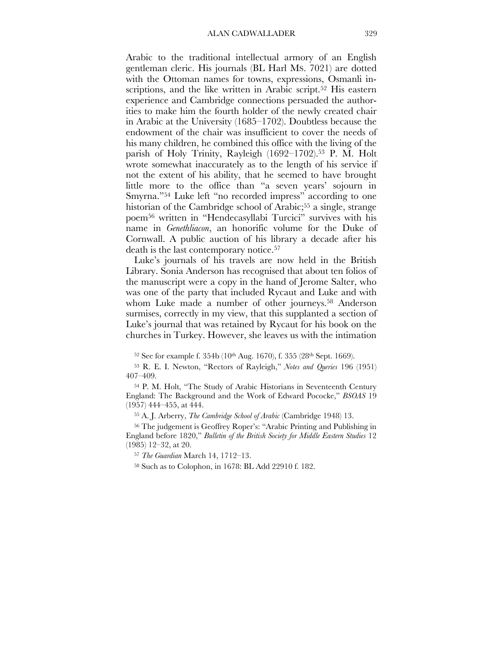Arabic to the traditional intellectual armory of an English gentleman cleric. His journals (BL Harl MS. 7021) are dotted with the Ottoman names for towns, expressions, Osmanli inscriptions, and the like written in Arabic script.<sup>52</sup> His eastern experience and Cambridge connections persuaded the authorities to make him the fourth holder of the newly created chair in Arabic at the University (1685–1702). Doubtless because the endowment of the chair was insufficient to cover the needs of his many children, he combined this office with the living of the parish of Holy Trinity, Rayleigh (1692–1702).<sup>53</sup> P. M. Holt wrote somewhat inaccurately as to the length of his service if not the extent of his ability, that he seemed to have brought little more to the office than "a seven years' sojourn in Smyrna."54 Luke left "no recorded impress" according to one historian of the Cambridge school of Arabic;<sup>55</sup> a single, strange poem56 written in "Hendecasyllabi Turcici" survives with his name in *Genethliacon*, an honorific volume for the Duke of Cornwall. A public auction of his library a decade after his death is the last contemporary notice.57

Luke's journals of his travels are now held in the British Library. Sonia Anderson has recognised that about ten folios of the manuscript were a copy in the hand of Jerome Salter, who was one of the party that included Rycaut and Luke and with whom Luke made a number of other journeys.<sup>58</sup> Anderson surmises, correctly in my view, that this supplanted a section of Luke's journal that was retained by Rycaut for his book on the churches in Turkey. However, she leaves us with the intimation

52 See for example f. 354b (10<sup>th</sup> Aug. 1670), f. 355 (28<sup>th</sup> Sept. 1669).

<sup>53</sup> R. E. I. Newton, "Rectors of Rayleigh," *Notes and Queries* 196 (1951) 407–409.

<sup>54</sup> P. M. Holt, "The Study of Arabic Historians in Seventeenth Century England: The Background and the Work of Edward Pococke," *BSOAS* 19 (1957) 444–455, at 444.

<sup>55</sup> A. J. Arberry, *The Cambridge School of Arabic* (Cambridge 1948) 13.

<sup>56</sup> The judgement is Geoffrey Roper's: "Arabic Printing and Publishing in England before 1820," *Bulletin of the British Society for Middle Eastern Studies* 12 (1985) 12–32, at 20.

<sup>57</sup> *The Guardian* March 14, 1712–13.

<sup>58</sup> Such as to Colophon, in 1678: BL Add 22910 f. 182.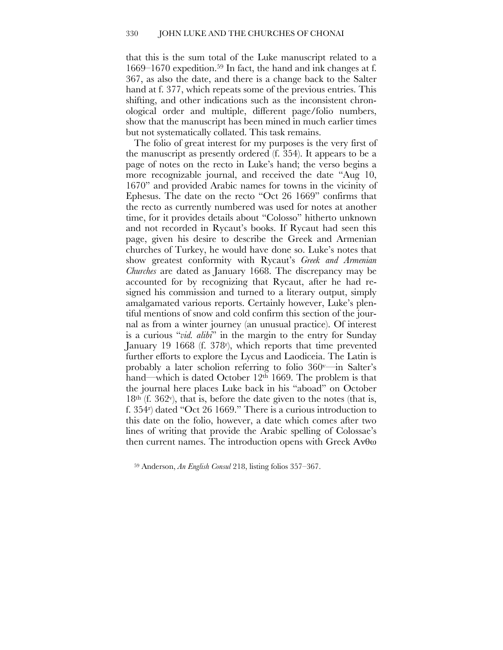that this is the sum total of the Luke manuscript related to a 1669–1670 expedition. <sup>59</sup> In fact, the hand and ink changes at f. 367, as also the date, and there is a change back to the Salter hand at f. 377, which repeats some of the previous entries. This shifting, and other indications such as the inconsistent chronological order and multiple, different page/folio numbers, show that the manuscript has been mined in much earlier times but not systematically collated. This task remains.

The folio of great interest for my purposes is the very first of the manuscript as presently ordered (f. 354). It appears to be a page of notes on the recto in Luke's hand; the verso begins a more recognizable journal, and received the date "Aug 10, 1670" and provided Arabic names for towns in the vicinity of Ephesus. The date on the recto "Oct 26 1669" confirms that the recto as currently numbered was used for notes at another time, for it provides details about "Colosso" hitherto unknown and not recorded in Rycaut's books. If Rycaut had seen this page, given his desire to describe the Greek and Armenian churches of Turkey, he would have done so. Luke's notes that show greatest conformity with Rycaut's *Greek and Armenian Churches* are dated as January 1668. The discrepancy may be accounted for by recognizing that Rycaut, after he had resigned his commission and turned to a literary output, simply amalgamated various reports. Certainly however, Luke's plentiful mentions of snow and cold confirm this section of the journal as from a winter journey (an unusual practice). Of interest is a curious "*vid. alibi*" in the margin to the entry for Sunday January 19 1668 (f. 378<sup>r</sup>), which reports that time prevented further efforts to explore the Lycus and Laodiceia. The Latin is probably a later scholion referring to folio 360v—in Salter's hand—which is dated October 12<sup>th</sup> 1669. The problem is that the journal here places Luke back in his "aboad" on October  $18<sup>th</sup>$  (f. 362<sup>v</sup>), that is, before the date given to the notes (that is, f. 354r ) dated "Oct 26 1669." There is a curious introduction to this date on the folio, however, a date which comes after two lines of writing that provide the Arabic spelling of Colossae's then current names. The introduction opens with Greek Ανθω

<sup>59</sup> Anderson, *An English Consul* 218, listing folios 357–367.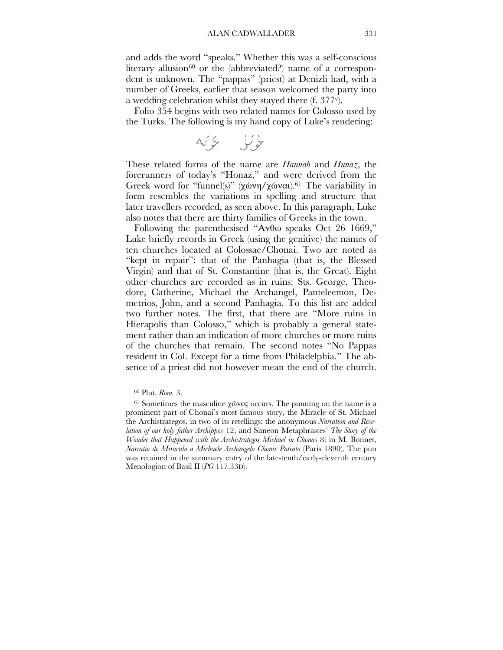and adds the word "speaks." Whether this was a self-conscious literary allusion<sup>60</sup> or the (abbreviated?) name of a correspondent is unknown. The "pappas" (priest) at Denizli had, with a number of Greeks, earlier that season welcomed the party into a wedding celebration whilst they stayed there (f. 377v).

Folio 354 begins with two related names for Colosso used by the Turks. The following is my hand copy of Luke's rendering:

 $\Delta' \circledast \qquad \qquad \Box \circledast$ 

These related forms of the name are *Haunah* and *Hunaz*, the forerunners of today's "Honaz," and were derived from the Greek word for "funnel(s)" (χώνη/χῶναι).<sup>61</sup> The variability in form resembles the variations in spelling and structure that later travellers recorded, as seen above. In this paragraph, Luke also notes that there are thirty families of Greeks in the town.

Following the parenthesised "Ανθω speaks Oct 26 1669," Luke briefly records in Greek (using the genitive) the names of ten churches located at Colossae/Chonai. Two are noted as "kept in repair": that of the Panhagia (that is, the Blessed Virgin) and that of St. Constantine (that is, the Great). Eight other churches are recorded as in ruins: Sts. George, Theodore, Catherine, Michael the Archangel, Panteleemon, Demetrios, John, and a second Panhagia. To this list are added two further notes. The first, that there are "More ruins in Hierapolis than Colosso," which is probably a general statement rather than an indication of more churches or more ruins of the churches that remain. The second notes "No Pappas resident in Col. Except for a time from Philadelphia." The absence of a priest did not however mean the end of the church.

<sup>60</sup> Plut. *Rom.* 3.

 $61$  Sometimes the masculine χώνος occurs. The punning on the name is a prominent part of Chonai's most famous story, the Miracle of St. Michael the Archistrategos, in two of its retellings: the anonymous *Narration and Revelation of our holy father Archippos* 12, and Simeon Metaphrastes' *The Story of the Wonder that Happened with the Archistrategos Michael in Chonas* 8: in M. Bonnet, *Narratio de Miraculo a Michaele Archangelo Chonis Patrato* (Paris 1890). The pun was retained in the summary entry of the late-tenth/early-eleventh century Menologion of Basil II (*PG* 117.33D).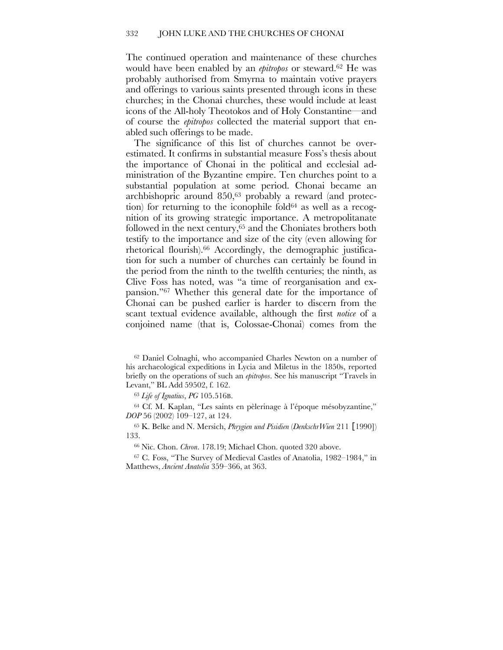The continued operation and maintenance of these churches would have been enabled by an *epitropos* or steward. <sup>62</sup> He was probably authorised from Smyrna to maintain votive prayers and offerings to various saints presented through icons in these churches; in the Chonai churches, these would include at least icons of the All-holy Theotokos and of Holy Constantine—and of course the *epitropos* collected the material support that enabled such offerings to be made.

The significance of this list of churches cannot be overestimated. It confirms in substantial measure Foss's thesis about the importance of Chonai in the political and ecclesial administration of the Byzantine empire. Ten churches point to a substantial population at some period. Chonai became an archbishopric around 850,63 probably a reward (and protection) for returning to the iconophile fold<sup>64</sup> as well as a recognition of its growing strategic importance. A metropolitanate followed in the next century, <sup>65</sup> and the Choniates brothers both testify to the importance and size of the city (even allowing for rhetorical flourish).66 Accordingly, the demographic justification for such a number of churches can certainly be found in the period from the ninth to the twelfth centuries; the ninth, as Clive Foss has noted, was "a time of reorganisation and expansion."67 Whether this general date for the importance of Chonai can be pushed earlier is harder to discern from the scant textual evidence available, although the first *notice* of a conjoined name (that is, Colossae-Chonai) comes from the

<sup>63</sup> *Life of Ignatius*, *PG* 105.516B.

<sup>64</sup> Cf. M. Kaplan, "Les saints en pèlerinage à l'époque mésobyzantine," *DOP* 56 (2002) 109–127, at 124.

<sup>65</sup> K. Belke and N. Mersich, *Phrygien und Pisidien* (*DenkschrWien* 211 [1990]) 133.

<sup>66</sup> Nic. Chon. *Chron*. 178.19; Michael Chon. quoted 320 above.

<sup>67</sup> C. Foss, "The Survey of Medieval Castles of Anatolia, 1982–1984," in Matthews, *Ancient Anatolia* 359–366, at 363.

<sup>62</sup> Daniel Colnaghi, who accompanied Charles Newton on a number of his archaeological expeditions in Lycia and Miletus in the 1850s, reported briefly on the operations of such an *epitropos*. See his manuscript "Travels in Levant," BL Add 59502, f. 162.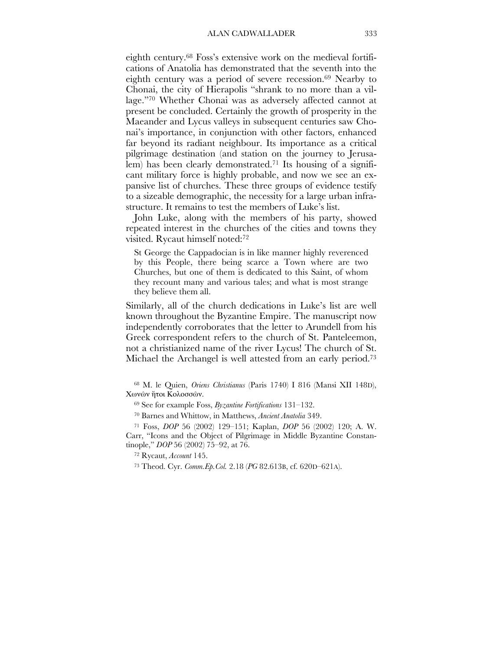eighth century. <sup>68</sup> Foss's extensive work on the medieval fortifications of Anatolia has demonstrated that the seventh into the eighth century was a period of severe recession.<sup>69</sup> Nearby to Chonai, the city of Hierapolis "shrank to no more than a village."70 Whether Chonai was as adversely affected cannot at present be concluded. Certainly the growth of prosperity in the Maeander and Lycus valleys in subsequent centuries saw Chonai's importance, in conjunction with other factors, enhanced far beyond its radiant neighbour. Its importance as a critical pilgrimage destination (and station on the journey to Jerusalem) has been clearly demonstrated.<sup>71</sup> Its housing of a significant military force is highly probable, and now we see an expansive list of churches. These three groups of evidence testify to a sizeable demographic, the necessity for a large urban infrastructure. It remains to test the members of Luke's list.

John Luke, along with the members of his party, showed repeated interest in the churches of the cities and towns they visited. Rycaut himself noted:72

St George the Cappadocian is in like manner highly reverenced by this People, there being scarce a Town where are two Churches, but one of them is dedicated to this Saint, of whom they recount many and various tales; and what is most strange they believe them all.

Similarly, all of the church dedications in Luke's list are well known throughout the Byzantine Empire. The manuscript now independently corroborates that the letter to Arundell from his Greek correspondent refers to the church of St. Panteleemon, not a christianized name of the river Lycus! The church of St. Michael the Archangel is well attested from an early period. 73

<sup>68</sup> M. le Quien, *Oriens Christianus* (Paris 1740) I 816 (Mansi XII 148D), Χωνῶν ἤτοι Κολοσσῶν.

<sup>69</sup> See for example Foss, *Byzantine Fortifications* 131–132.

<sup>70</sup> Barnes and Whittow, in Matthews, *Ancient Anatolia* 349.

<sup>71</sup> Foss, *DOP* 56 (2002) 129–151; Kaplan, *DOP* 56 (2002) 120; A. W. Carr, "Icons and the Object of Pilgrimage in Middle Byzantine Constantinople," *DOP* 56 (2002) 75–92, at 76.

<sup>72</sup> Rycaut, *Account* 145.

<sup>73</sup> Theod. Cyr. *Comm.Ep.Col.* 2.18 (*PG* 82.613B, cf. 620D–621A).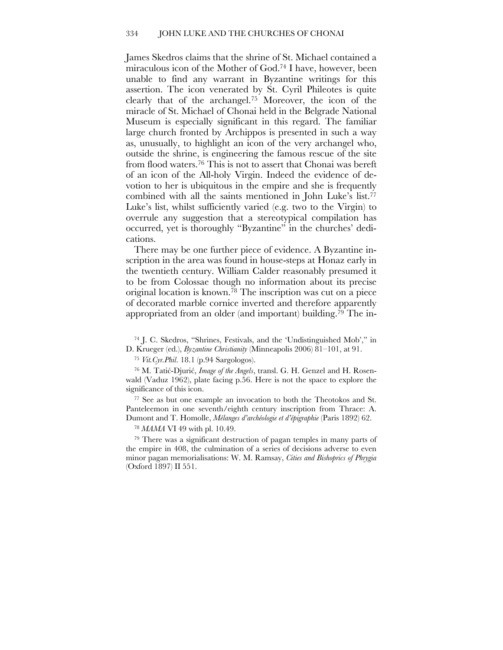James Skedros claims that the shrine of St. Michael contained a miraculous icon of the Mother of God. <sup>74</sup> I have, however, been unable to find any warrant in Byzantine writings for this assertion. The icon venerated by St. Cyril Phileotes is quite clearly that of the archangel.75 Moreover, the icon of the miracle of St. Michael of Chonai held in the Belgrade National Museum is especially significant in this regard. The familiar large church fronted by Archippos is presented in such a way as, unusually, to highlight an icon of the very archangel who, outside the shrine, is engineering the famous rescue of the site from flood waters.76 This is not to assert that Chonai was bereft of an icon of the All-holy Virgin. Indeed the evidence of devotion to her is ubiquitous in the empire and she is frequently combined with all the saints mentioned in John Luke's list. 77 Luke's list, whilst sufficiently varied (e.g. two to the Virgin) to overrule any suggestion that a stereotypical compilation has occurred, yet is thoroughly "Byzantine" in the churches' dedications.

There may be one further piece of evidence. A Byzantine inscription in the area was found in house-steps at Honaz early in the twentieth century. William Calder reasonably presumed it to be from Colossae though no information about its precise original location is known. <sup>78</sup> The inscription was cut on a piece of decorated marble cornice inverted and therefore apparently appropriated from an older (and important) building.79 The in-

<sup>74</sup> J. C. Skedros, "Shrines, Festivals, and the 'Undistinguished Mob'," in D. Krueger (ed.), *Byzantine Christianity* (Minneapolis 2006) 81–101, at 91.

<sup>75</sup> *Vit.Cyr.Phil*. 18.1 (p.94 Sargologos).

<sup>76</sup> M. Tatic´-Djuric´, *Image of the Angels*, transl. G. H. Genzel and H. Rosenwald (Vaduz 1962), plate facing p.56. Here is not the space to explore the significance of this icon.

<sup>77</sup> See as but one example an invocation to both the Theotokos and St. Panteleemon in one seventh/eighth century inscription from Thrace: A. Dumont and T. Homolle, *Mélanges d'archéologie et d'épigraphie* (Paris 1892) 62.

<sup>78</sup> *MAMA* VI 49 with pl. 10.49.

<sup>79</sup> There was a significant destruction of pagan temples in many parts of the empire in 408, the culmination of a series of decisions adverse to even minor pagan memorialisations: W. M. Ramsay, *Cities and Bishoprics of Phrygia* (Oxford 1897) II 551.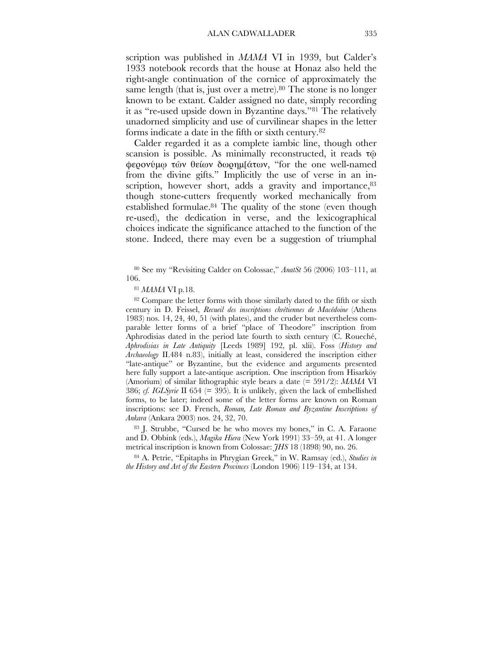scription was published in *MAMA* VI in 1939, but Calder's 1933 notebook records that the house at Honaz also held the right-angle continuation of the cornice of approximately the same length (that is, just over a metre).<sup>80</sup> The stone is no longer known to be extant. Calder assigned no date, simply recording it as "re-used upside down in Byzantine days."81 The relatively unadorned simplicity and use of curvilinear shapes in the letter forms indicate a date in the fifth or sixth century.82

Calder regarded it as a complete iambic line, though other scansion is possible. As minimally reconstructed, it reads τῶ φερονύμῳ τῶν θείων δωρημ[άτων, "for the one well-named from the divine gifts." Implicitly the use of verse in an inscription, however short, adds a gravity and importance, 83 though stone-cutters frequently worked mechanically from established formulae.84 The quality of the stone (even though re-used), the dedication in verse, and the lexicographical choices indicate the significance attached to the function of the stone. Indeed, there may even be a suggestion of triumphal

<sup>80</sup> See my "Revisiting Calder on Colossae," *AnatSt* 56 (2006) 103–111, at 106.

<sup>81</sup> *MAMA* VI p.18.

<sup>82</sup> Compare the letter forms with those similarly dated to the fifth or sixth century in D. Feissel, *Recueil des inscriptions chrétiennes de Macédoine* (Athens 1983) nos. 14, 24, 40, 51 (with plates), and the cruder but nevertheless comparable letter forms of a brief "place of Theodore" inscription from Aphrodisias dated in the period late fourth to sixth century (C. Roueché, *Aphrodisias in Late Antiquity* [Leeds 1989] 192, pl. xlii). Foss (*History and Archaeology* II.484 n.83), initially at least, considered the inscription either "late-antique" or Byzantine, but the evidence and arguments presented here fully support a late-antique ascription. One inscription from Hisarköy (Amorium) of similar lithographic style bears a date (= 591/2): *MAMA* VI 386; *cf. IGLSyrie* II 654 (= 395). It is unlikely, given the lack of embellished forms, to be later; indeed some of the letter forms are known on Roman inscriptions: see D. French, *Roman, Late Roman and Byzantine Inscriptions of Ankara* (Ankara 2003) nos. 24, 32, 70.

<sup>83</sup> J. Strubbe, "Cursed be he who moves my bones," in C. A. Faraone and D. Obbink (eds.), *Magika Hiera* (New York 1991) 33–59, at 41. A longer metrical inscription is known from Colossae: *JHS* 18 (1898) 90, no. 26.

<sup>84</sup> A. Petrie, "Epitaphs in Phrygian Greek," in W. Ramsay (ed.), *Studies in the History and Art of the Eastern Provinces* (London 1906) 119–134, at 134.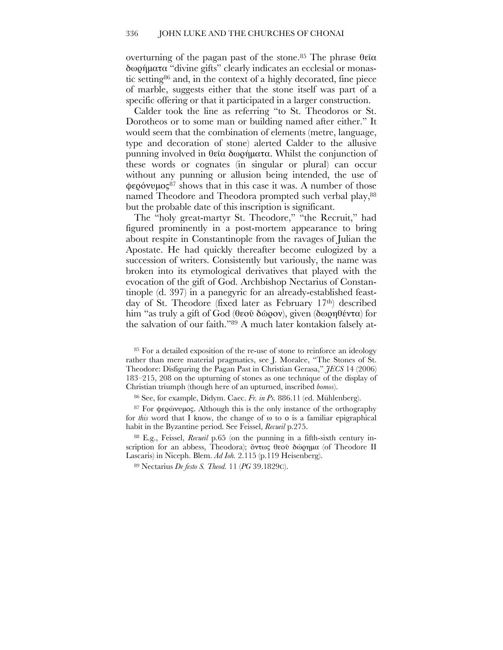overturning of the pagan past of the stone.<sup>85</sup> The phrase θεΐα δωρήματα "divine gifts" clearly indicates an ecclesial or monastic setting86 and, in the context of a highly decorated, fine piece of marble, suggests either that the stone itself was part of a specific offering or that it participated in a larger construction.

Calder took the line as referring "to St. Theodoros or St. Dorotheos or to some man or building named after either." It would seem that the combination of elements (metre, language, type and decoration of stone) alerted Calder to the allusive punning involved in θεῖα δωρήματα. Whilst the conjunction of these words or cognates (in singular or plural) can occur without any punning or allusion being intended, the use of  $\phi \epsilon \rho \acute{o}v \nu \mu o \varsigma^{87}$  shows that in this case it was. A number of those named Theodore and Theodora prompted such verbal play,<sup>88</sup> but the probable date of this inscription is significant.

The "holy great-martyr St. Theodore," "the Recruit," had figured prominently in a post-mortem appearance to bring about respite in Constantinople from the ravages of Julian the Apostate. He had quickly thereafter become eulogized by a succession of writers. Consistently but variously, the name was broken into its etymological derivatives that played with the evocation of the gift of God. Archbishop Nectarius of Constantinople (d. 397) in a panegyric for an already-established feastday of St. Theodore (fixed later as February 17th) described him "as truly a gift of God (θεοῦ δῶρον), given (δωρηθέντα) for the salvation of our faith."89 A much later kontakion falsely at-

<sup>85</sup> For a detailed exposition of the re-use of stone to reinforce an ideology rather than mere material pragmatics, see J. Moralee, "The Stones of St. Theodore: Disfiguring the Pagan Past in Christian Gerasa," *JECS* 14 (2006) 183–215, 208 on the upturning of stones as one technique of the display of Christian triumph (though here of an upturned, inscribed *bomos*).

<sup>86</sup> See, for example, Didym. Caec. *Fr. in Ps.* 886.11 (ed. Mühlenberg).

<sup>87</sup> For φερώνυμος. Although this is the only instance of the orthography for *this* word that I know, the change of ω to ο is a familiar epigraphical habit in the Byzantine period. See Feissel, *Recueil* p.275.

<sup>88</sup> E.g., Feissel, *Recueil* p.65 (on the punning in a fifth-sixth century inscription for an abbess, Theodora); ὄντως θεού δώρημα (of Theodore II Lascaris) in Niceph. Blem. *Ad Ioh.* 2.115 (p.119 Heisenberg).

<sup>89</sup> Nectarius *De festo S. Theod.* 11 (*PG* 39.1829C).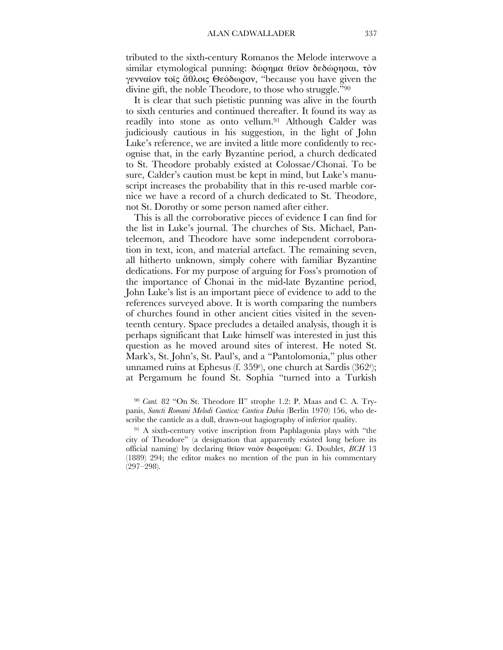tributed to the sixth-century Romanos the Melode interwove a similar etymological punning: δώρημα θεΐον δεδώρησαι, τὸν γενναῖον τοῖς ἄθλοις Θεόδωρον, "because you have given the divine gift, the noble Theodore, to those who struggle."90

It is clear that such pietistic punning was alive in the fourth to sixth centuries and continued thereafter. It found its way as readily into stone as onto vellum.91 Although Calder was judiciously cautious in his suggestion, in the light of John Luke's reference, we are invited a little more confidently to recognise that, in the early Byzantine period, a church dedicated to St. Theodore probably existed at Colossae/Chonai. To be sure, Calder's caution must be kept in mind, but Luke's manuscript increases the probability that in this re-used marble cornice we have a record of a church dedicated to St. Theodore, not St. Dorothy or some person named after either.

This is all the corroborative pieces of evidence I can find for the list in Luke's journal. The churches of Sts. Michael, Panteleemon, and Theodore have some independent corroboration in text, icon, and material artefact. The remaining seven, all hitherto unknown, simply cohere with familiar Byzantine dedications. For my purpose of arguing for Foss's promotion of the importance of Chonai in the mid-late Byzantine period, John Luke's list is an important piece of evidence to add to the references surveyed above. It is worth comparing the numbers of churches found in other ancient cities visited in the seventeenth century. Space precludes a detailed analysis, though it is perhaps significant that Luke himself was interested in just this question as he moved around sites of interest. He noted St. Mark's, St. John's, St. Paul's, and a "Pantolomonia," plus other unnamed ruins at Ephesus (f. 359r ), one church at Sardis (362r ); at Pergamum he found St. Sophia "turned into a Turkish

<sup>90</sup> *Cant.* 82 "On St. Theodore II" strophe 1.2: P. Maas and C. A. Trypanis, *Sancti Romani Melodi Cantica: Cantica Dubia* (Berlin 1970) 156, who describe the canticle as a dull, drawn-out hagiography of inferior quality.

<sup>91</sup> A sixth-century votive inscription from Paphlagonia plays with "the city of Theodore" (a designation that apparently existed long before its official naming) by declaring θεῖον ναὸν δωροῦμαι: G. Doublet, *BCH* 13 (1889) 294; the editor makes no mention of the pun in his commentary (297–298).